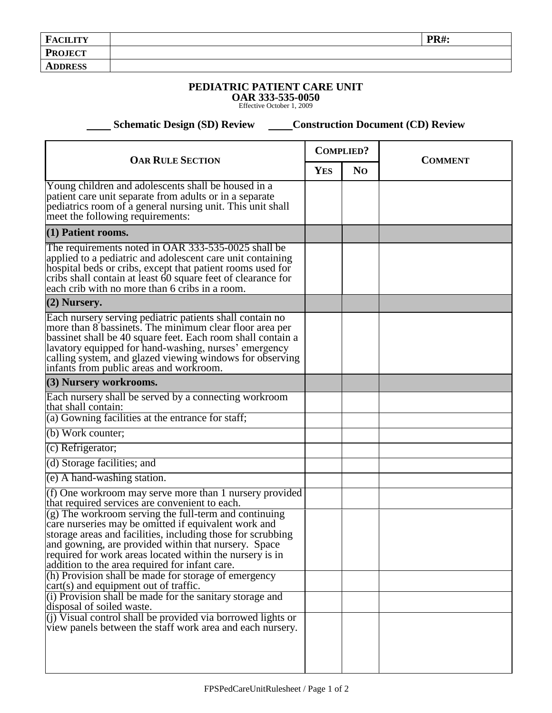| <b>FACILITY</b> | <b>PR#:</b> |
|-----------------|-------------|
| <b>PROJECT</b>  |             |
| <b>ADDRESS</b>  |             |

## **PEDIATRIC PATIENT CARE UNIT**

**OAR 333-535-0050** Effective October 1, 2009

 **Schematic Design (SD) Review Construction Document (CD) Review** 

| <b>OAR RULE SECTION</b>                                                                                                                                                                                                                                                                                                                            |  | <b>COMPLIED?</b> | <b>COMMENT</b> |
|----------------------------------------------------------------------------------------------------------------------------------------------------------------------------------------------------------------------------------------------------------------------------------------------------------------------------------------------------|--|------------------|----------------|
|                                                                                                                                                                                                                                                                                                                                                    |  | N <sub>O</sub>   |                |
| Young children and adolescents shall be housed in a<br>patient care unit separate from adults or in a separate<br>pediatrics room of a general nursing unit. This unit shall<br>meet the following requirements:                                                                                                                                   |  |                  |                |
| $(1)$ Patient rooms.                                                                                                                                                                                                                                                                                                                               |  |                  |                |
| The requirements noted in OAR 333-535-0025 shall be<br>applied to a pediatric and adolescent care unit containing<br>hospital beds or cribs, except that patient rooms used for<br>cribs shall contain at least 60 square feet of clearance for<br>each crib with no more than 6 cribs in a room.                                                  |  |                  |                |
| (2) Nursery.                                                                                                                                                                                                                                                                                                                                       |  |                  |                |
| Each nursery serving pediatric patients shall contain no<br>more than 8 bassinets. The minimum clear floor area per<br>bassinet shall be 40 square feet. Each room shall contain a<br>lavatory equipped for hand-washing, nurses' emergency<br>calling system, and glazed viewing windows for observing<br>infants from public areas and workroom. |  |                  |                |
| (3) Nursery workrooms.                                                                                                                                                                                                                                                                                                                             |  |                  |                |
| Each nursery shall be served by a connecting workroom<br>that shall contain:<br>(a) Gowning facilities at the entrance for staff;                                                                                                                                                                                                                  |  |                  |                |
| (b) Work counter;                                                                                                                                                                                                                                                                                                                                  |  |                  |                |
| (c) Refrigerator;                                                                                                                                                                                                                                                                                                                                  |  |                  |                |
| (d) Storage facilities; and                                                                                                                                                                                                                                                                                                                        |  |                  |                |
| (e) A hand-washing station.                                                                                                                                                                                                                                                                                                                        |  |                  |                |
| (f) One workroom may serve more than 1 nursery provided                                                                                                                                                                                                                                                                                            |  |                  |                |
| that required services are convenient to each.                                                                                                                                                                                                                                                                                                     |  |                  |                |
| (g) The workroom serving the full-term and continuing<br>care nurseries may be omitted if equivalent work and<br>storage areas and facilities, including those for scrubbing<br>and gowning, are provided within that nursery. Space<br>required for work areas located within the nursery is in<br>addition to the area required for infant care. |  |                  |                |
| (h) Provision shall be made for storage of emergency                                                                                                                                                                                                                                                                                               |  |                  |                |
| cart(s) and equipment out of traffic.<br>(i) Provision shall be made for the sanitary storage and                                                                                                                                                                                                                                                  |  |                  |                |
| disposal of soiled waste.                                                                                                                                                                                                                                                                                                                          |  |                  |                |
| (i) Visual control shall be provided via borrowed lights or<br>view panels between the staff work area and each nursery.                                                                                                                                                                                                                           |  |                  |                |